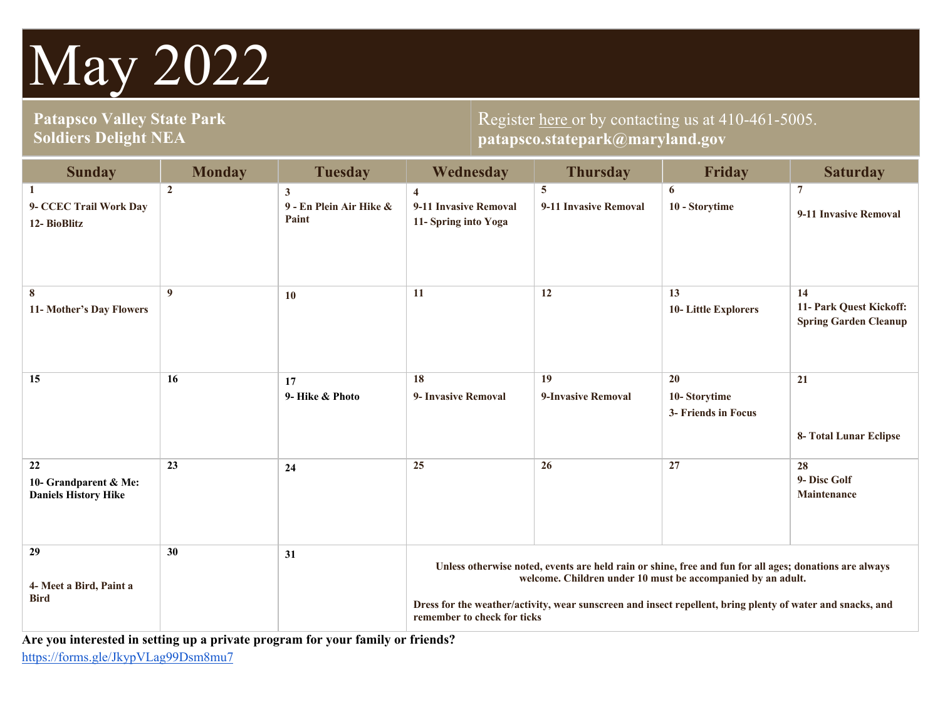# May 2022

## **Patapsco Valley State Park Soldiers Delight NEA**

## Register here or by contacting us at 410-461-5005. **patapsco.statepark@maryland.gov**

| <b>Sunday</b>                                              | <b>Monday</b>   | <b>Tuesday</b>                                   | Wednesday                                                                                                                                                                                                                                                                                                          | <b>Thursday</b>            | Friday                                    | <b>Saturday</b>                                               |
|------------------------------------------------------------|-----------------|--------------------------------------------------|--------------------------------------------------------------------------------------------------------------------------------------------------------------------------------------------------------------------------------------------------------------------------------------------------------------------|----------------------------|-------------------------------------------|---------------------------------------------------------------|
| 1<br>9- CCEC Trail Work Day<br>12- BioBlitz                | $\overline{2}$  | $\mathbf{3}$<br>9 - En Plein Air Hike &<br>Paint | $\overline{4}$<br>9-11 Invasive Removal<br>11- Spring into Yoga                                                                                                                                                                                                                                                    | 5<br>9-11 Invasive Removal | 6<br>10 - Storytime                       | $7\phantom{.0}$<br>9-11 Invasive Removal                      |
| 8<br>11- Mother's Day Flowers                              | 9               | 10                                               | 11                                                                                                                                                                                                                                                                                                                 | 12                         | 13<br><b>10-Little Explorers</b>          | 14<br>11- Park Quest Kickoff:<br><b>Spring Garden Cleanup</b> |
| 15                                                         | 16              | 17<br>9- Hike & Photo                            | 18<br>9- Invasive Removal                                                                                                                                                                                                                                                                                          | 19<br>9-Invasive Removal   | 20<br>10-Storytime<br>3- Friends in Focus | 21<br>8- Total Lunar Eclipse                                  |
| 22<br>10- Grandparent & Me:<br><b>Daniels History Hike</b> | $\overline{23}$ | 24                                               | 25                                                                                                                                                                                                                                                                                                                 | $\overline{26}$            | 27                                        | 28<br>9- Disc Golf<br><b>Maintenance</b>                      |
| 29<br>4- Meet a Bird, Paint a<br><b>Bird</b>               | 30              | 31                                               | Unless otherwise noted, events are held rain or shine, free and fun for all ages; donations are always<br>welcome. Children under 10 must be accompanied by an adult.<br>Dress for the weather/activity, wear sunscreen and insect repellent, bring plenty of water and snacks, and<br>remember to check for ticks |                            |                                           |                                                               |

 **Are you interested in setting up a private program for your family or friends?**  <https://forms.gle/JkypVLag99Dsm8mu7>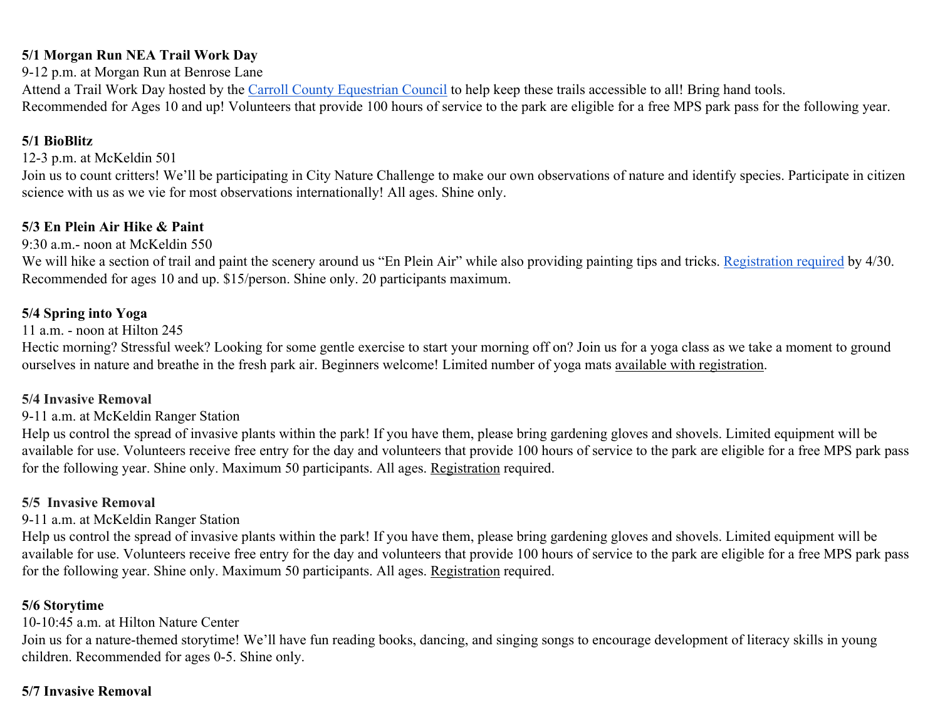#### **5/1 Morgan Run NEA Trail Work Day**

9-12 p.m. at Morgan Run at Benrose Lane

Attend a Trail Work Day hosted by the Carroll County Equestrian Council to help keep these trails accessible to all! Bring hand tools. Recommended for Ages 10 and up! Volunteers that provide 100 hours of service to the park are eligible for a free MPS park pass for the following year.

## **5/1 BioBlitz**

#### 12-3 p.m. at McKeldin 501

Join us to count critters! We'll be participating in City Nature Challenge to make our own observations of nature and identify species. Participate in citizen science with us as we vie for most observations internationally! All ages. Shine only.

## **5/3 En Plein Air Hike & Paint**

## 9:30 a.m.- noon at McKeldin 550

We will hike a section of trail and paint the scenery around us "En Plein Air" while also providing painting tips and tricks. Registration required by 4/30. Recommended for ages 10 and up. \$15/person. Shine only. 20 participants maximum.

## **5/4 Spring into Yoga**

#### 11 a.m. - noon at Hilton 245

Hectic morning? Stressful week? Looking for some gentle exercise to start your morning off on? Join us for a yoga class as we take a moment to ground ourselves in nature and breathe in the fresh park air. Beginners welcome! Limited number of yoga mats available with registration.

#### **5/4 Invasive Removal**

#### 9-11 a.m. at McKeldin Ranger Station

Help us control the spread of invasive plants within the park! If you have them, please bring gardening gloves and shovels. Limited equipment will be available for use. Volunteers receive free entry for the day and volunteers that provide 100 hours of service to the park are eligible for a free MPS park pass for the following year. Shine only. Maximum 50 participants. All ages. Registration required.

#### **5/5 Invasive Removal**

## 9-11 a.m. at McKeldin Ranger Station

for the following year. Shine only. Maximum 50 participants. All ages. Registration required. Help us control the spread of invasive plants within the park! If you have them, please bring gardening gloves and shovels. Limited equipment will be available for use. Volunteers receive free entry for the day and volunteers that provide 100 hours of service to the park are eligible for a free MPS park pass

#### **5/6 Storytime**

#### 10-10:45 a.m. at Hilton Nature Center

Join us for a nature-themed storytime! We'll have fun reading books, dancing, and singing songs to encourage development of literacy skills in young children. Recommended for ages 0-5. Shine only.

## **5/7 Invasive Removal**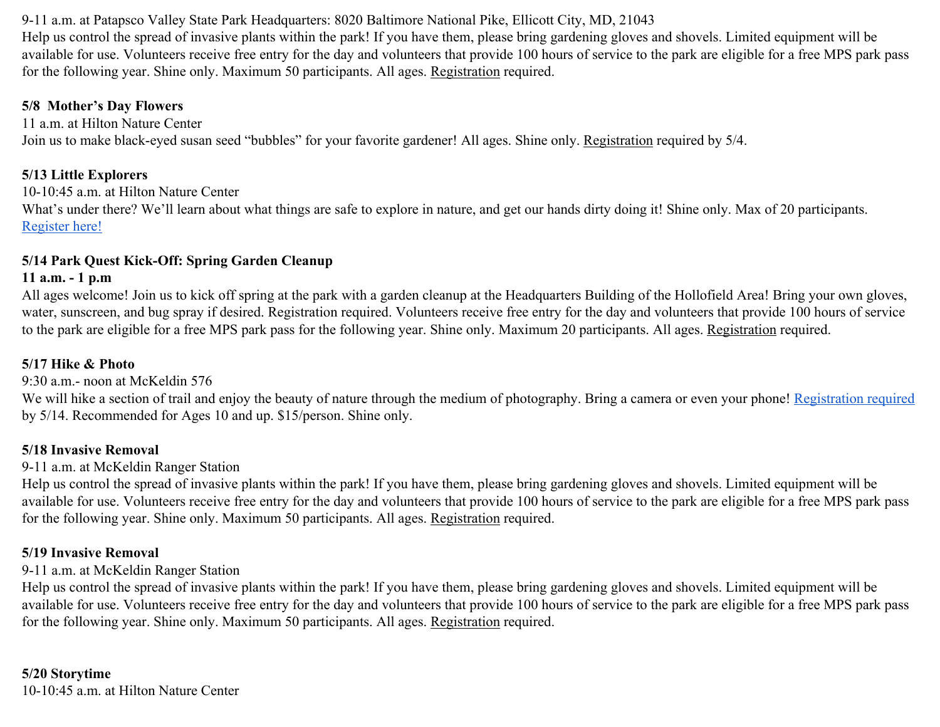for the following year. Shine only. Maximum 50 participants. All ages. Registration required. 9-11 a.m. at Patapsco Valley State Park Headquarters: 8020 Baltimore National Pike, Ellicott City, MD, 21043 Help us control the spread of invasive plants within the park! If you have them, please bring gardening gloves and shovels. Limited equipment will be available for use. Volunteers receive free entry for the day and volunteers that provide 100 hours of service to the park are eligible for a free MPS park pass

#### **5/8 Mother's Day Flowers**

11 a.m. at Hilton Nature Center Join us to make black-eyed susan seed "bubbles" for your favorite gardener! All ages. Shine only. Registration required by 5/4.

#### **5/13 Little Explorers**

10-10:45 a.m. at Hilton Nature Center What's under there? We'll learn about what things are safe to explore in nature, and get our hands dirty doing it! Shine only. Max of 20 participants. Register here!

#### **5/14 Park Quest Kick-Off: Spring Garden Cleanup**

#### **11 a.m. - 1 p.m**

to the park are eligible for a free MPS park pass for the following year. Shine only. Maximum 20 participants. All ages. Registration required. All ages welcome! Join us to kick off spring at the park with a garden cleanup at the Headquarters Building of the Hollofield Area! Bring your own gloves, water, sunscreen, and bug spray if desired. Registration required. Volunteers receive free entry for the day and volunteers that provide 100 hours of service

#### **5/17 Hike & Photo**

9:30 a.m.- noon at McKeldin 576

We will hike a section of trail and enjoy the beauty of nature through the medium of photography. Bring a camera or even your phone! Registration required by 5/14. Recommended for Ages 10 and up. \$15/person. Shine only.

#### **5/18 Invasive Removal**

#### 9-11 a.m. at McKeldin Ranger Station

for the following year. Shine only. Maximum 50 participants. All ages. Registration required. Help us control the spread of invasive plants within the park! If you have them, please bring gardening gloves and shovels. Limited equipment will be available for use. Volunteers receive free entry for the day and volunteers that provide 100 hours of service to the park are eligible for a free MPS park pass

#### **5/19 Invasive Removal**

#### 9-11 a.m. at McKeldin Ranger Station

for the following year. Shine only. Maximum 50 participants. All ages. Registration required. Help us control the spread of invasive plants within the park! If you have them, please bring gardening gloves and shovels. Limited equipment will be available for use. Volunteers receive free entry for the day and volunteers that provide 100 hours of service to the park are eligible for a free MPS park pass

## **5/20 Storytime**

10-10:45 a.m. at Hilton Nature Center